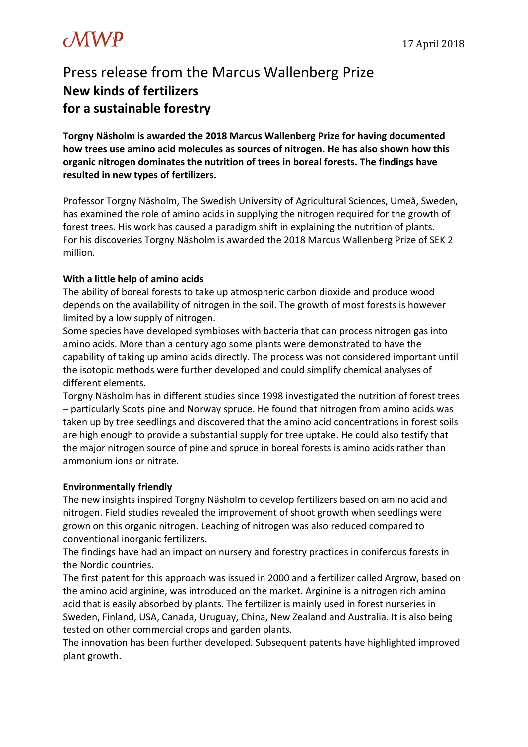## $\mathcal{MWP}$  17 April 2018

### Press release from the Marcus Wallenberg Prize **New kinds of fertilizers for a sustainable forestry**

**Torgny Näsholm is awarded the 2018 Marcus Wallenberg Prize for having documented how trees use amino acid molecules as sources of nitrogen. He has also shown how this organic nitrogen dominates the nutrition of trees in boreal forests. The findings have resulted in new types of fertilizers.**

Professor Torgny Näsholm, The Swedish University of Agricultural Sciences, Umeå, Sweden, has examined the role of amino acids in supplying the nitrogen required for the growth of forest trees. His work has caused a paradigm shift in explaining the nutrition of plants. For his discoveries Torgny Näsholm is awarded the 2018 Marcus Wallenberg Prize of SEK 2 million.

### **With a little help of amino acids**

The ability of boreal forests to take up atmospheric carbon dioxide and produce wood depends on the availability of nitrogen in the soil. The growth of most forests is however limited by a low supply of nitrogen.

Some species have developed symbioses with bacteria that can process nitrogen gas into amino acids. More than a century ago some plants were demonstrated to have the capability of taking up amino acids directly. The process was not considered important until the isotopic methods were further developed and could simplify chemical analyses of different elements.

Torgny Näsholm has in different studies since 1998 investigated the nutrition of forest trees – particularly Scots pine and Norway spruce. He found that nitrogen from amino acids was taken up by tree seedlings and discovered that the amino acid concentrations in forest soils are high enough to provide a substantial supply for tree uptake. He could also testify that the major nitrogen source of pine and spruce in boreal forests is amino acids rather than ammonium ions or nitrate.

### **Environmentally friendly**

The new insights inspired Torgny Näsholm to develop fertilizers based on amino acid and nitrogen. Field studies revealed the improvement of shoot growth when seedlings were grown on this organic nitrogen. Leaching of nitrogen was also reduced compared to conventional inorganic fertilizers.

The findings have had an impact on nursery and forestry practices in coniferous forests in the Nordic countries.

The first patent for this approach was issued in 2000 and a fertilizer called Argrow, based on the amino acid arginine, was introduced on the market. Arginine is a nitrogen rich amino acid that is easily absorbed by plants. The fertilizer is mainly used in forest nurseries in Sweden, Finland, USA, Canada, Uruguay, China, New Zealand and Australia. It is also being tested on other commercial crops and garden plants.

The innovation has been further developed. Subsequent patents have highlighted improved plant growth.